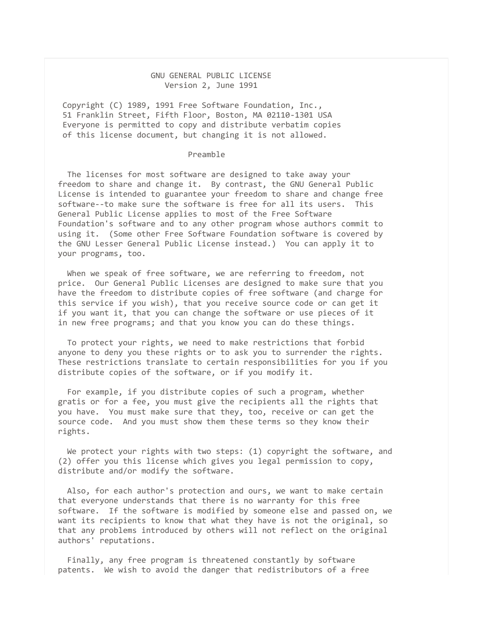## GNU GENERAL PUBLIC LICENSE Version 2, June 1991

Copyright (C) 1989, 1991 Free Software Foundation, Inc., 51 Franklin Street, Fifth Floor, Boston, MA 02110-1301 USA Everyone is permitted to copy and distribute verbatim copies of this license document, but changing it is not allowed.

## Preamble

 The licenses for most software are designed to take away your freedom to share and change it. By contrast, the GNU General Public License is intended to guarantee your freedom to share and change free software--to make sure the software is free for all its users. This General Public License applies to most of the Free Software Foundation's software and to any other program whose authors commit to using it. (Some other Free Software Foundation software is covered by the GNU Lesser General Public License instead.) You can apply it to your programs, too.

 When we speak of free software, we are referring to freedom, not price. Our General Public Licenses are designed to make sure that you have the freedom to distribute copies of free software (and charge for this service if you wish), that you receive source code or can get it if you want it, that you can change the software or use pieces of it in new free programs; and that you know you can do these things.

 To protect your rights, we need to make restrictions that forbid anyone to deny you these rights or to ask you to surrender the rights. These restrictions translate to certain responsibilities for you if you distribute copies of the software, or if you modify it.

 For example, if you distribute copies of such a program, whether gratis or for a fee, you must give the recipients all the rights that you have. You must make sure that they, too, receive or can get the source code. And you must show them these terms so they know their rights.

 We protect your rights with two steps: (1) copyright the software, and (2) offer you this license which gives you legal permission to copy, distribute and/or modify the software.

 Also, for each author's protection and ours, we want to make certain that everyone understands that there is no warranty for this free software. If the software is modified by someone else and passed on, we want its recipients to know that what they have is not the original, so that any problems introduced by others will not reflect on the original authors' reputations.

 Finally, any free program is threatened constantly by software patents. We wish to avoid the danger that redistributors of a free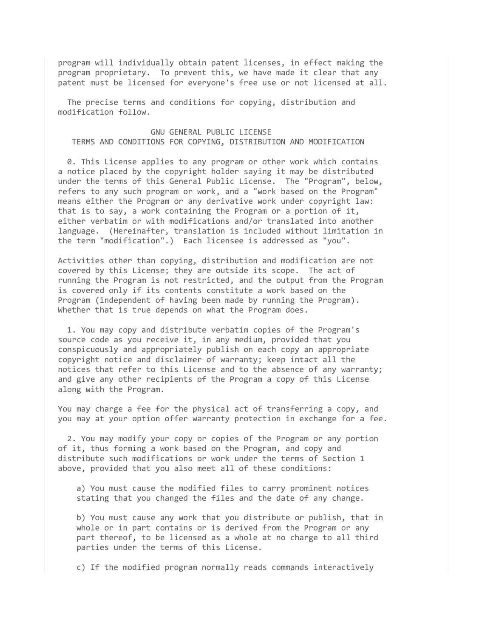program will individually obtain patent licenses, in effect making the program proprietary. To prevent this, we have made it clear that any patent must be licensed for everyone's free use or not licensed at all.

 The precise terms and conditions for copying, distribution and modification follow.

## GNU GENERAL PUBLIC LICENSE TERMS AND CONDITIONS FOR COPYING, DISTRIBUTION AND MODIFICATION

 0. This License applies to any program or other work which contains a notice placed by the copyright holder saying it may be distributed under the terms of this General Public License. The "Program", below, refers to any such program or work, and a "work based on the Program" means either the Program or any derivative work under copyright law: that is to say, a work containing the Program or a portion of it, either verbatim or with modifications and/or translated into another language. (Hereinafter, translation is included without limitation in the term "modification".) Each licensee is addressed as "you".

Activities other than copying, distribution and modification are not covered by this License; they are outside its scope. The act of running the Program is not restricted, and the output from the Program is covered only if its contents constitute a work based on the Program (independent of having been made by running the Program). Whether that is true depends on what the Program does.

 1. You may copy and distribute verbatim copies of the Program's source code as you receive it, in any medium, provided that you conspicuously and appropriately publish on each copy an appropriate copyright notice and disclaimer of warranty; keep intact all the notices that refer to this License and to the absence of any warranty; and give any other recipients of the Program a copy of this License along with the Program.

You may charge a fee for the physical act of transferring a copy, and you may at your option offer warranty protection in exchange for a fee.

 2. You may modify your copy or copies of the Program or any portion of it, thus forming a work based on the Program, and copy and distribute such modifications or work under the terms of Section 1 above, provided that you also meet all of these conditions:

 a) You must cause the modified files to carry prominent notices stating that you changed the files and the date of any change.

 b) You must cause any work that you distribute or publish, that in whole or in part contains or is derived from the Program or any part thereof, to be licensed as a whole at no charge to all third parties under the terms of this License.

c) If the modified program normally reads commands interactively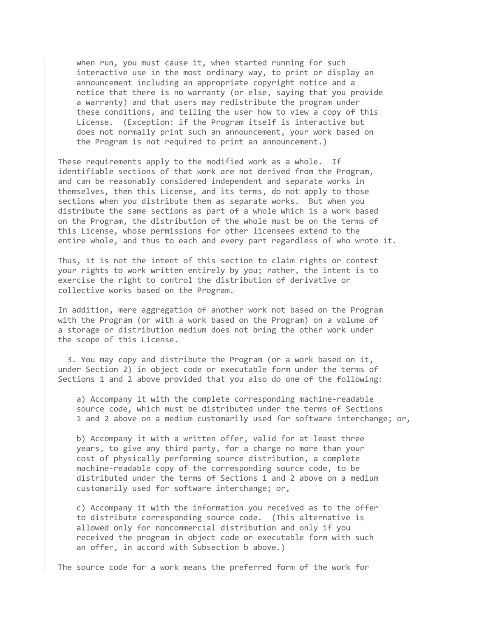when run, you must cause it, when started running for such interactive use in the most ordinary way, to print or display an announcement including an appropriate copyright notice and a notice that there is no warranty (or else, saying that you provide a warranty) and that users may redistribute the program under these conditions, and telling the user how to view a copy of this License. (Exception: if the Program itself is interactive but does not normally print such an announcement, your work based on the Program is not required to print an announcement.)

These requirements apply to the modified work as a whole. If identifiable sections of that work are not derived from the Program, and can be reasonably considered independent and separate works in themselves, then this License, and its terms, do not apply to those sections when you distribute them as separate works. But when you distribute the same sections as part of a whole which is a work based on the Program, the distribution of the whole must be on the terms of this License, whose permissions for other licensees extend to the entire whole, and thus to each and every part regardless of who wrote it.

Thus, it is not the intent of this section to claim rights or contest your rights to work written entirely by you; rather, the intent is to exercise the right to control the distribution of derivative or collective works based on the Program.

In addition, mere aggregation of another work not based on the Program with the Program (or with a work based on the Program) on a volume of a storage or distribution medium does not bring the other work under the scope of this License.

 3. You may copy and distribute the Program (or a work based on it, under Section 2) in object code or executable form under the terms of Sections 1 and 2 above provided that you also do one of the following:

 a) Accompany it with the complete corresponding machine-readable source code, which must be distributed under the terms of Sections 1 and 2 above on a medium customarily used for software interchange; or,

 b) Accompany it with a written offer, valid for at least three years, to give any third party, for a charge no more than your cost of physically performing source distribution, a complete machine-readable copy of the corresponding source code, to be distributed under the terms of Sections 1 and 2 above on a medium customarily used for software interchange; or,

 c) Accompany it with the information you received as to the offer to distribute corresponding source code. (This alternative is allowed only for noncommercial distribution and only if you received the program in object code or executable form with such an offer, in accord with Subsection b above.)

The source code for a work means the preferred form of the work for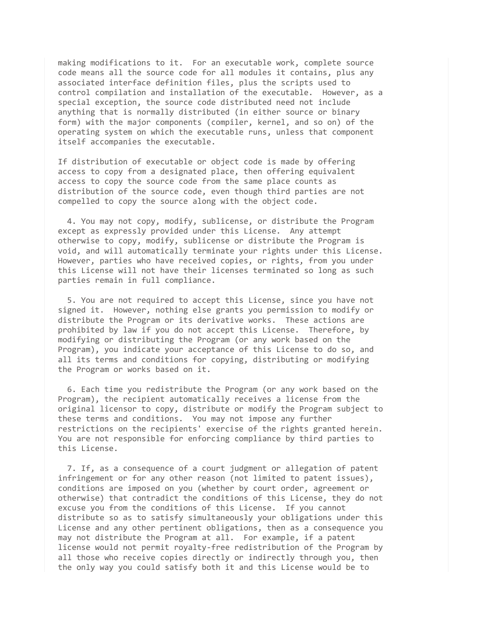making modifications to it. For an executable work, complete source code means all the source code for all modules it contains, plus any associated interface definition files, plus the scripts used to control compilation and installation of the executable. However, as a special exception, the source code distributed need not include anything that is normally distributed (in either source or binary form) with the major components (compiler, kernel, and so on) of the operating system on which the executable runs, unless that component itself accompanies the executable.

If distribution of executable or object code is made by offering access to copy from a designated place, then offering equivalent access to copy the source code from the same place counts as distribution of the source code, even though third parties are not compelled to copy the source along with the object code.

 4. You may not copy, modify, sublicense, or distribute the Program except as expressly provided under this License. Any attempt otherwise to copy, modify, sublicense or distribute the Program is void, and will automatically terminate your rights under this License. However, parties who have received copies, or rights, from you under this License will not have their licenses terminated so long as such parties remain in full compliance.

 5. You are not required to accept this License, since you have not signed it. However, nothing else grants you permission to modify or distribute the Program or its derivative works. These actions are prohibited by law if you do not accept this License. Therefore, by modifying or distributing the Program (or any work based on the Program), you indicate your acceptance of this License to do so, and all its terms and conditions for copying, distributing or modifying the Program or works based on it.

 6. Each time you redistribute the Program (or any work based on the Program), the recipient automatically receives a license from the original licensor to copy, distribute or modify the Program subject to these terms and conditions. You may not impose any further restrictions on the recipients' exercise of the rights granted herein. You are not responsible for enforcing compliance by third parties to this License.

 7. If, as a consequence of a court judgment or allegation of patent infringement or for any other reason (not limited to patent issues), conditions are imposed on you (whether by court order, agreement or otherwise) that contradict the conditions of this License, they do not excuse you from the conditions of this License. If you cannot distribute so as to satisfy simultaneously your obligations under this License and any other pertinent obligations, then as a consequence you may not distribute the Program at all. For example, if a patent license would not permit royalty-free redistribution of the Program by all those who receive copies directly or indirectly through you, then the only way you could satisfy both it and this License would be to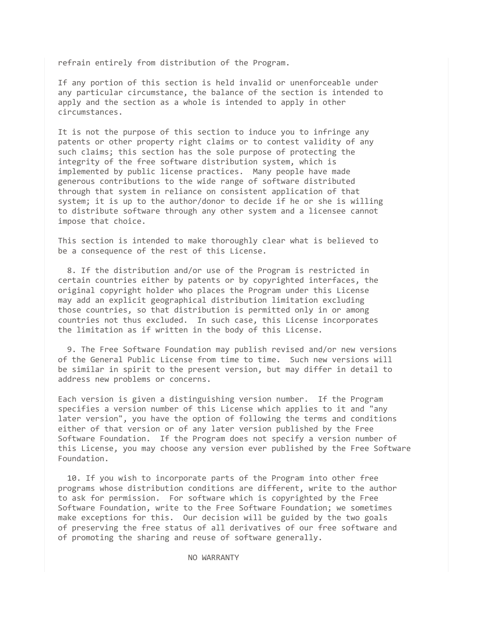refrain entirely from distribution of the Program.

If any portion of this section is held invalid or unenforceable under any particular circumstance, the balance of the section is intended to apply and the section as a whole is intended to apply in other circumstances.

It is not the purpose of this section to induce you to infringe any patents or other property right claims or to contest validity of any such claims; this section has the sole purpose of protecting the integrity of the free software distribution system, which is implemented by public license practices. Many people have made generous contributions to the wide range of software distributed through that system in reliance on consistent application of that system; it is up to the author/donor to decide if he or she is willing to distribute software through any other system and a licensee cannot impose that choice.

This section is intended to make thoroughly clear what is believed to be a consequence of the rest of this License.

 8. If the distribution and/or use of the Program is restricted in certain countries either by patents or by copyrighted interfaces, the original copyright holder who places the Program under this License may add an explicit geographical distribution limitation excluding those countries, so that distribution is permitted only in or among countries not thus excluded. In such case, this License incorporates the limitation as if written in the body of this License.

 9. The Free Software Foundation may publish revised and/or new versions of the General Public License from time to time. Such new versions will be similar in spirit to the present version, but may differ in detail to address new problems or concerns.

Each version is given a distinguishing version number. If the Program specifies a version number of this License which applies to it and "any later version", you have the option of following the terms and conditions either of that version or of any later version published by the Free Software Foundation. If the Program does not specify a version number of this License, you may choose any version ever published by the Free Software Foundation.

 10. If you wish to incorporate parts of the Program into other free programs whose distribution conditions are different, write to the author to ask for permission. For software which is copyrighted by the Free Software Foundation, write to the Free Software Foundation; we sometimes make exceptions for this. Our decision will be guided by the two goals of preserving the free status of all derivatives of our free software and of promoting the sharing and reuse of software generally.

NO WARRANTY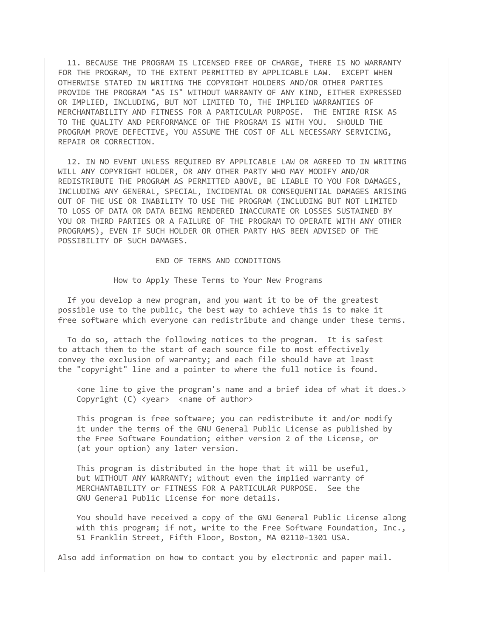11. BECAUSE THE PROGRAM IS LICENSED FREE OF CHARGE, THERE IS NO WARRANTY FOR THE PROGRAM, TO THE EXTENT PERMITTED BY APPLICABLE LAW. EXCEPT WHEN OTHERWISE STATED IN WRITING THE COPYRIGHT HOLDERS AND/OR OTHER PARTIES PROVIDE THE PROGRAM "AS IS" WITHOUT WARRANTY OF ANY KIND, EITHER EXPRESSED OR IMPLIED, INCLUDING, BUT NOT LIMITED TO, THE IMPLIED WARRANTIES OF MERCHANTABILITY AND FITNESS FOR A PARTICULAR PURPOSE. THE ENTIRE RISK AS TO THE QUALITY AND PERFORMANCE OF THE PROGRAM IS WITH YOU. SHOULD THE PROGRAM PROVE DEFECTIVE, YOU ASSUME THE COST OF ALL NECESSARY SERVICING, REPAIR OR CORRECTION.

 12. IN NO EVENT UNLESS REQUIRED BY APPLICABLE LAW OR AGREED TO IN WRITING WILL ANY COPYRIGHT HOLDER, OR ANY OTHER PARTY WHO MAY MODIFY AND/OR REDISTRIBUTE THE PROGRAM AS PERMITTED ABOVE, BE LIABLE TO YOU FOR DAMAGES, INCLUDING ANY GENERAL, SPECIAL, INCIDENTAL OR CONSEQUENTIAL DAMAGES ARISING OUT OF THE USE OR INABILITY TO USE THE PROGRAM (INCLUDING BUT NOT LIMITED TO LOSS OF DATA OR DATA BEING RENDERED INACCURATE OR LOSSES SUSTAINED BY YOU OR THIRD PARTIES OR A FAILURE OF THE PROGRAM TO OPERATE WITH ANY OTHER PROGRAMS), EVEN IF SUCH HOLDER OR OTHER PARTY HAS BEEN ADVISED OF THE POSSIBILITY OF SUCH DAMAGES.

## END OF TERMS AND CONDITIONS

How to Apply These Terms to Your New Programs

 If you develop a new program, and you want it to be of the greatest possible use to the public, the best way to achieve this is to make it free software which everyone can redistribute and change under these terms.

 To do so, attach the following notices to the program. It is safest to attach them to the start of each source file to most effectively convey the exclusion of warranty; and each file should have at least the "copyright" line and a pointer to where the full notice is found.

 <one line to give the program's name and a brief idea of what it does.> Copyright (C) <year> <name of author>

 This program is free software; you can redistribute it and/or modify it under the terms of the GNU General Public License as published by the Free Software Foundation; either version 2 of the License, or (at your option) any later version.

 This program is distributed in the hope that it will be useful, but WITHOUT ANY WARRANTY; without even the implied warranty of MERCHANTABILITY or FITNESS FOR A PARTICULAR PURPOSE. See the GNU General Public License for more details.

 You should have received a copy of the GNU General Public License along with this program; if not, write to the Free Software Foundation, Inc., 51 Franklin Street, Fifth Floor, Boston, MA 02110-1301 USA.

Also add information on how to contact you by electronic and paper mail.